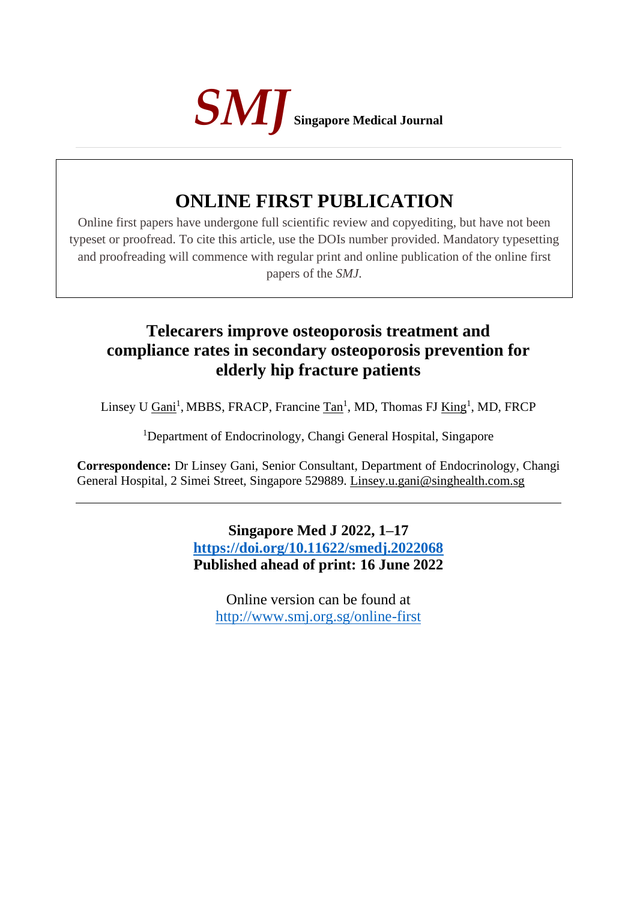

# **ONLINE FIRST PUBLICATION**

Online first papers have undergone full scientific review and copyediting, but have not been typeset or proofread. To cite this article, use the DOIs number provided. Mandatory typesetting and proofreading will commence with regular print and online publication of the online first papers of the *SMJ*.

# **Telecarers improve osteoporosis treatment and compliance rates in secondary osteoporosis prevention for elderly hip fracture patients**

Linsey U <u>Gani</u><sup>1</sup>, MBBS, FRACP, Francine Tan<sup>1</sup>, MD, Thomas FJ <u>King</u><sup>1</sup>, MD, FRCP

<sup>1</sup>Department of Endocrinology, Changi General Hospital, Singapore

**Correspondence:** Dr Linsey Gani, Senior Consultant, Department of Endocrinology, Changi General Hospital, 2 Simei Street, Singapore 529889. Linsey.u.gani@singhealth.com.sg

> **Singapore Med J 2022, 1–17 <https://doi.org/10.11622/smedj.2022068> Published ahead of print: 16 June 2022**

Online version can be found at <http://www.smj.org.sg/online-first>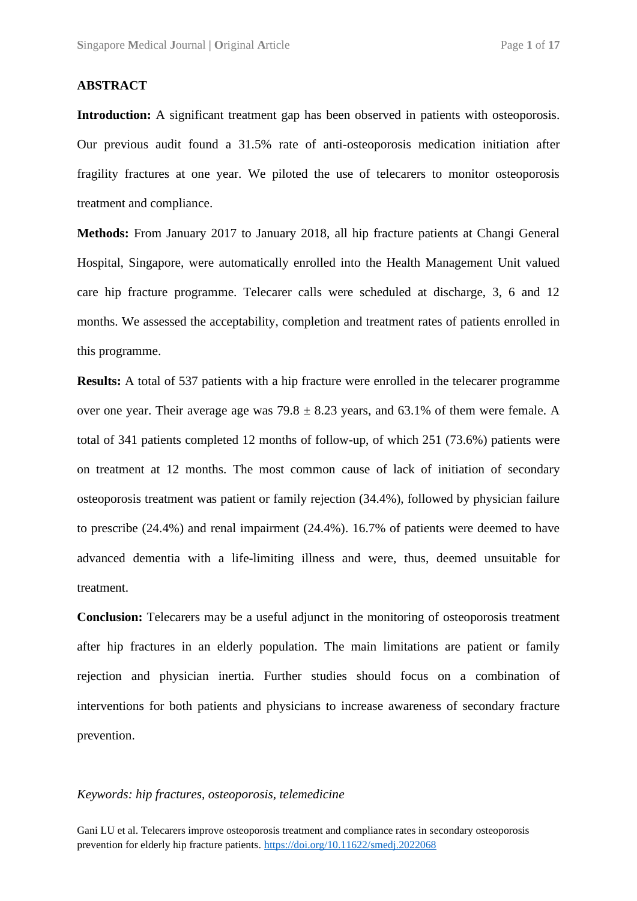#### **ABSTRACT**

Introduction: A significant treatment gap has been observed in patients with osteoporosis. Our previous audit found a 31.5% rate of anti-osteoporosis medication initiation after fragility fractures at one year. We piloted the use of telecarers to monitor osteoporosis treatment and compliance.

**Methods:** From January 2017 to January 2018, all hip fracture patients at Changi General Hospital, Singapore, were automatically enrolled into the Health Management Unit valued care hip fracture programme. Telecarer calls were scheduled at discharge, 3, 6 and 12 months. We assessed the acceptability, completion and treatment rates of patients enrolled in this programme.

**Results:** A total of 537 patients with a hip fracture were enrolled in the telecarer programme over one year. Their average age was  $79.8 \pm 8.23$  years, and 63.1% of them were female. A total of 341 patients completed 12 months of follow-up, of which 251 (73.6%) patients were on treatment at 12 months. The most common cause of lack of initiation of secondary osteoporosis treatment was patient or family rejection (34.4%), followed by physician failure to prescribe (24.4%) and renal impairment (24.4%). 16.7% of patients were deemed to have advanced dementia with a life-limiting illness and were, thus, deemed unsuitable for treatment.

**Conclusion:** Telecarers may be a useful adjunct in the monitoring of osteoporosis treatment after hip fractures in an elderly population. The main limitations are patient or family rejection and physician inertia. Further studies should focus on a combination of interventions for both patients and physicians to increase awareness of secondary fracture prevention.

#### *Keywords: hip fractures, osteoporosis, telemedicine*

Gani LU et al. Telecarers improve osteoporosis treatment and compliance rates in secondary osteoporosis prevention for elderly hip fracture patients. <https://doi.org/10.11622/smedj.2022068>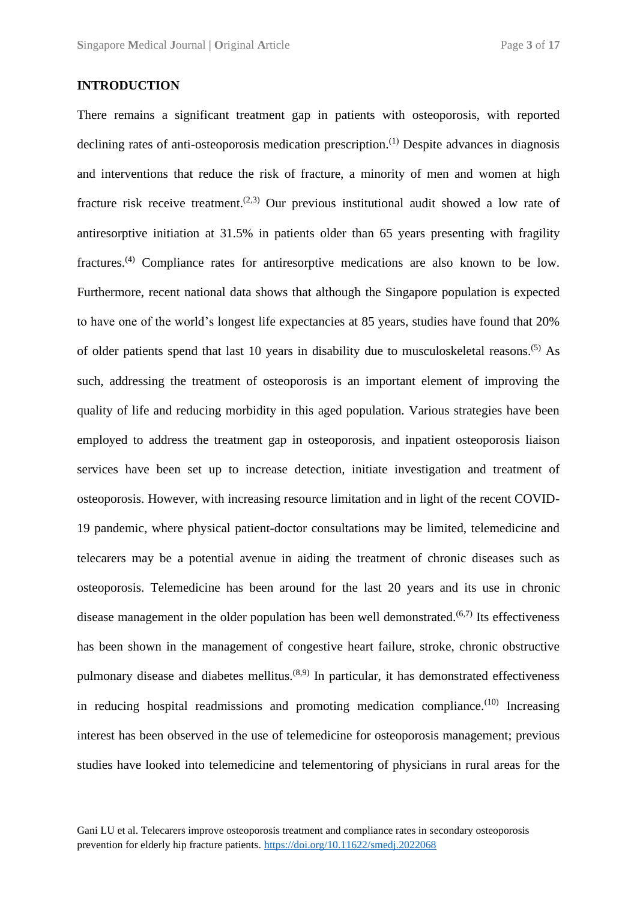#### **INTRODUCTION**

There remains a significant treatment gap in patients with osteoporosis, with reported declining rates of anti-osteoporosis medication prescription.<sup>(1)</sup> Despite advances in diagnosis and interventions that reduce the risk of fracture, a minority of men and women at high fracture risk receive treatment.<sup> $(2,3)$ </sup> Our previous institutional audit showed a low rate of antiresorptive initiation at 31.5% in patients older than 65 years presenting with fragility fractures.(4) Compliance rates for antiresorptive medications are also known to be low. Furthermore, recent national data shows that although the Singapore population is expected to have one of the world's longest life expectancies at 85 years, studies have found that 20% of older patients spend that last 10 years in disability due to musculoskeletal reasons.(5) As such, addressing the treatment of osteoporosis is an important element of improving the quality of life and reducing morbidity in this aged population. Various strategies have been employed to address the treatment gap in osteoporosis, and inpatient osteoporosis liaison services have been set up to increase detection, initiate investigation and treatment of osteoporosis. However, with increasing resource limitation and in light of the recent COVID-19 pandemic, where physical patient-doctor consultations may be limited, telemedicine and telecarers may be a potential avenue in aiding the treatment of chronic diseases such as osteoporosis. Telemedicine has been around for the last 20 years and its use in chronic disease management in the older population has been well demonstrated.<sup> $(6,7)$ </sup> Its effectiveness has been shown in the management of congestive heart failure, stroke, chronic obstructive pulmonary disease and diabetes mellitus.<sup> $(8,9)$ </sup> In particular, it has demonstrated effectiveness in reducing hospital readmissions and promoting medication compliance. $(10)$  Increasing interest has been observed in the use of telemedicine for osteoporosis management; previous studies have looked into telemedicine and telementoring of physicians in rural areas for the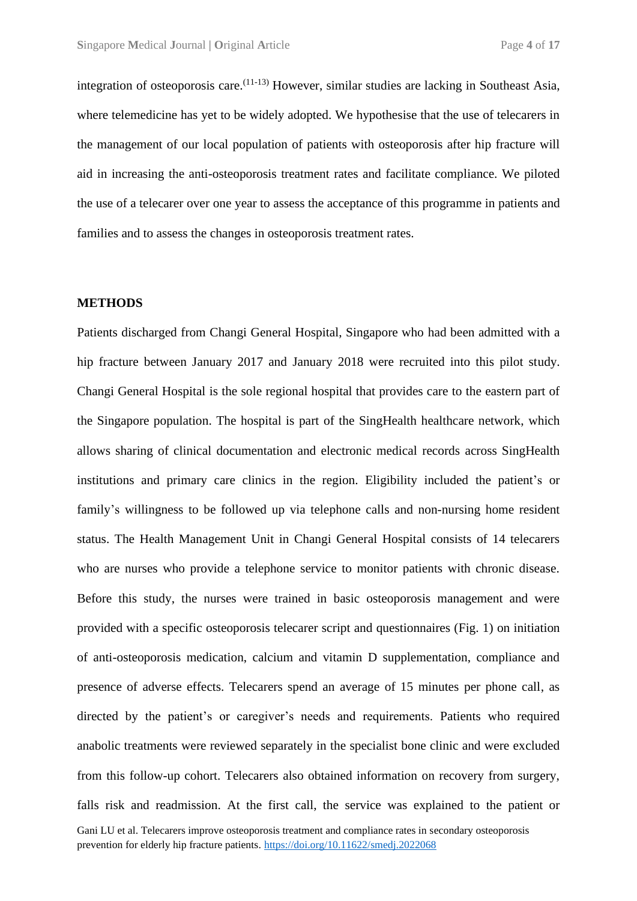integration of osteoporosis care.  $(11-13)$  However, similar studies are lacking in Southeast Asia, where telemedicine has yet to be widely adopted. We hypothesise that the use of telecarers in the management of our local population of patients with osteoporosis after hip fracture will aid in increasing the anti-osteoporosis treatment rates and facilitate compliance. We piloted the use of a telecarer over one year to assess the acceptance of this programme in patients and families and to assess the changes in osteoporosis treatment rates.

#### **METHODS**

Gani LU et al. Telecarers improve osteoporosis treatment and compliance rates in secondary osteoporosis prevention for elderly hip fracture patients. <https://doi.org/10.11622/smedj.2022068> Patients discharged from Changi General Hospital, Singapore who had been admitted with a hip fracture between January 2017 and January 2018 were recruited into this pilot study. Changi General Hospital is the sole regional hospital that provides care to the eastern part of the Singapore population. The hospital is part of the SingHealth healthcare network, which allows sharing of clinical documentation and electronic medical records across SingHealth institutions and primary care clinics in the region. Eligibility included the patient's or family's willingness to be followed up via telephone calls and non-nursing home resident status. The Health Management Unit in Changi General Hospital consists of 14 telecarers who are nurses who provide a telephone service to monitor patients with chronic disease. Before this study, the nurses were trained in basic osteoporosis management and were provided with a specific osteoporosis telecarer script and questionnaires (Fig. 1) on initiation of anti-osteoporosis medication, calcium and vitamin D supplementation, compliance and presence of adverse effects. Telecarers spend an average of 15 minutes per phone call, as directed by the patient's or caregiver's needs and requirements. Patients who required anabolic treatments were reviewed separately in the specialist bone clinic and were excluded from this follow-up cohort. Telecarers also obtained information on recovery from surgery, falls risk and readmission. At the first call, the service was explained to the patient or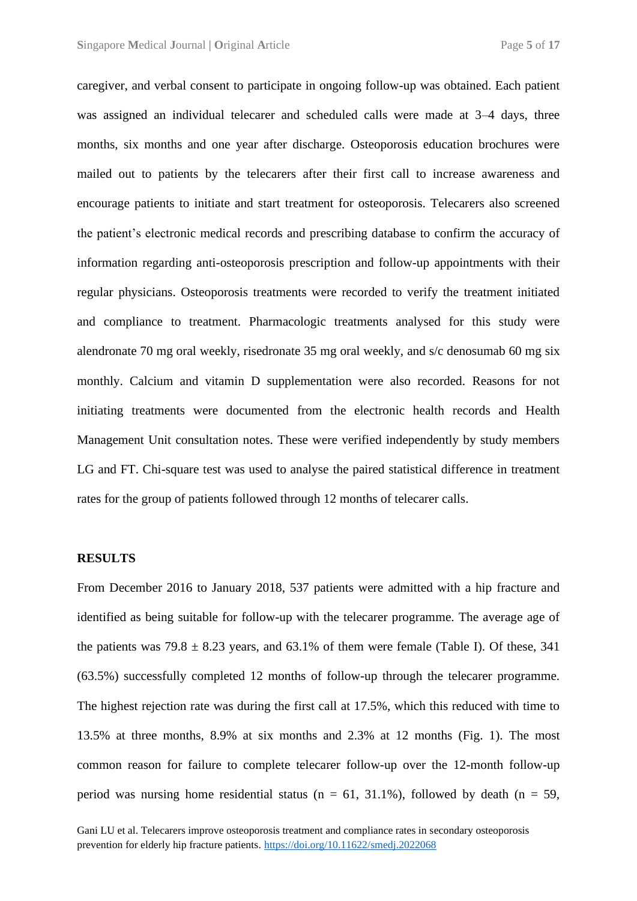caregiver, and verbal consent to participate in ongoing follow-up was obtained. Each patient was assigned an individual telecarer and scheduled calls were made at 3–4 days, three months, six months and one year after discharge. Osteoporosis education brochures were mailed out to patients by the telecarers after their first call to increase awareness and encourage patients to initiate and start treatment for osteoporosis. Telecarers also screened the patient's electronic medical records and prescribing database to confirm the accuracy of information regarding anti-osteoporosis prescription and follow-up appointments with their regular physicians. Osteoporosis treatments were recorded to verify the treatment initiated and compliance to treatment. Pharmacologic treatments analysed for this study were alendronate 70 mg oral weekly, risedronate 35 mg oral weekly, and s/c denosumab 60 mg six monthly. Calcium and vitamin D supplementation were also recorded. Reasons for not initiating treatments were documented from the electronic health records and Health Management Unit consultation notes. These were verified independently by study members LG and FT. Chi-square test was used to analyse the paired statistical difference in treatment rates for the group of patients followed through 12 months of telecarer calls.

#### **RESULTS**

From December 2016 to January 2018, 537 patients were admitted with a hip fracture and identified as being suitable for follow-up with the telecarer programme. The average age of the patients was  $79.8 \pm 8.23$  years, and 63.1% of them were female (Table I). Of these, 341 (63.5%) successfully completed 12 months of follow-up through the telecarer programme. The highest rejection rate was during the first call at 17.5%, which this reduced with time to 13.5% at three months, 8.9% at six months and 2.3% at 12 months (Fig. 1). The most common reason for failure to complete telecarer follow-up over the 12-month follow-up period was nursing home residential status ( $n = 61$ , 31.1%), followed by death ( $n = 59$ ,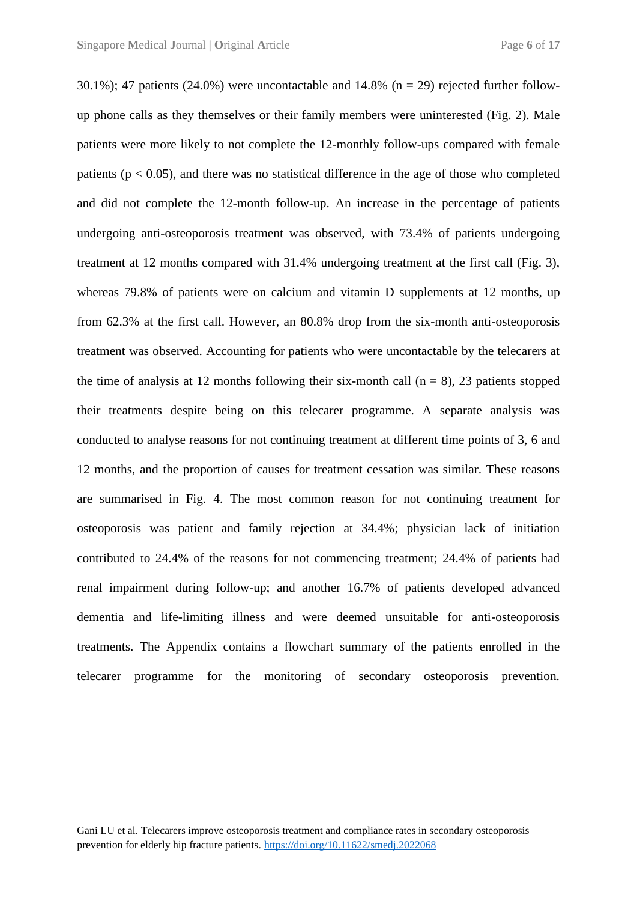30.1%); 47 patients (24.0%) were uncontactable and 14.8% ( $n = 29$ ) rejected further followup phone calls as they themselves or their family members were uninterested (Fig. 2). Male patients were more likely to not complete the 12-monthly follow-ups compared with female patients ( $p < 0.05$ ), and there was no statistical difference in the age of those who completed and did not complete the 12-month follow-up. An increase in the percentage of patients undergoing anti-osteoporosis treatment was observed, with 73.4% of patients undergoing treatment at 12 months compared with 31.4% undergoing treatment at the first call (Fig. 3), whereas 79.8% of patients were on calcium and vitamin D supplements at 12 months, up from 62.3% at the first call. However, an 80.8% drop from the six-month anti-osteoporosis treatment was observed. Accounting for patients who were uncontactable by the telecarers at the time of analysis at 12 months following their six-month call  $(n = 8)$ , 23 patients stopped their treatments despite being on this telecarer programme. A separate analysis was conducted to analyse reasons for not continuing treatment at different time points of 3, 6 and 12 months, and the proportion of causes for treatment cessation was similar. These reasons are summarised in Fig. 4. The most common reason for not continuing treatment for osteoporosis was patient and family rejection at 34.4%; physician lack of initiation contributed to 24.4% of the reasons for not commencing treatment; 24.4% of patients had renal impairment during follow-up; and another 16.7% of patients developed advanced dementia and life-limiting illness and were deemed unsuitable for anti-osteoporosis treatments. The Appendix contains a flowchart summary of the patients enrolled in the telecarer programme for the monitoring of secondary osteoporosis prevention.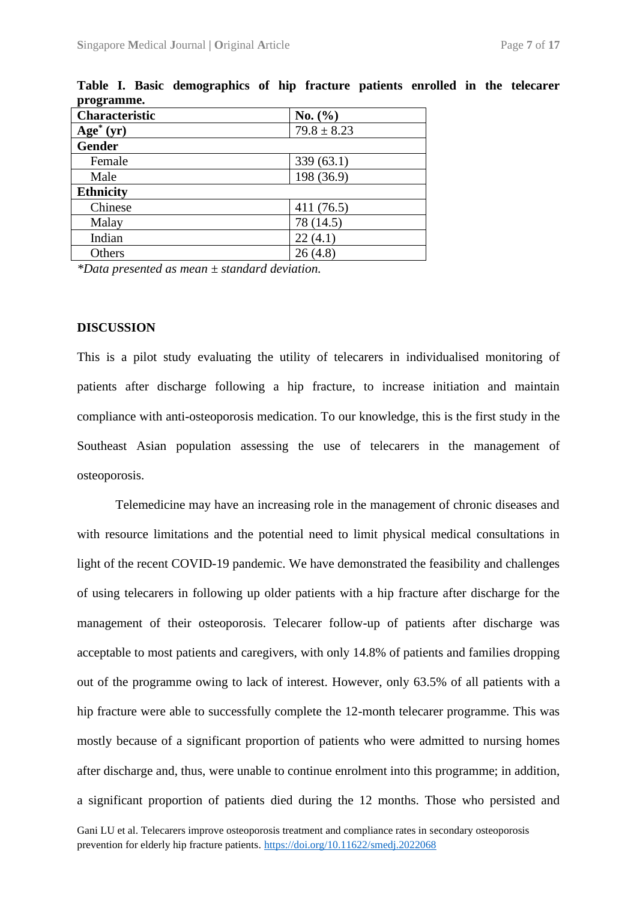| Characteristic   | No. $(\% )$     |  |  |
|------------------|-----------------|--|--|
| $Age^*(yr)$      | $79.8 \pm 8.23$ |  |  |
| <b>Gender</b>    |                 |  |  |
| Female           | 339(63.1)       |  |  |
| Male             | 198 (36.9)      |  |  |
| <b>Ethnicity</b> |                 |  |  |
| Chinese          | 411(76.5)       |  |  |
| Malay            | 78 (14.5)       |  |  |
| Indian           | 22(4.1)         |  |  |
| Others           | 26(4.8)         |  |  |

**Table I. Basic demographics of hip fracture patients enrolled in the telecarer programme.**

*\*Data presented as mean ± standard deviation.*

#### **DISCUSSION**

This is a pilot study evaluating the utility of telecarers in individualised monitoring of patients after discharge following a hip fracture, to increase initiation and maintain compliance with anti-osteoporosis medication. To our knowledge, this is the first study in the Southeast Asian population assessing the use of telecarers in the management of osteoporosis.

Telemedicine may have an increasing role in the management of chronic diseases and with resource limitations and the potential need to limit physical medical consultations in light of the recent COVID-19 pandemic. We have demonstrated the feasibility and challenges of using telecarers in following up older patients with a hip fracture after discharge for the management of their osteoporosis. Telecarer follow-up of patients after discharge was acceptable to most patients and caregivers, with only 14.8% of patients and families dropping out of the programme owing to lack of interest. However, only 63.5% of all patients with a hip fracture were able to successfully complete the 12-month telecarer programme. This was mostly because of a significant proportion of patients who were admitted to nursing homes after discharge and, thus, were unable to continue enrolment into this programme; in addition, a significant proportion of patients died during the 12 months. Those who persisted and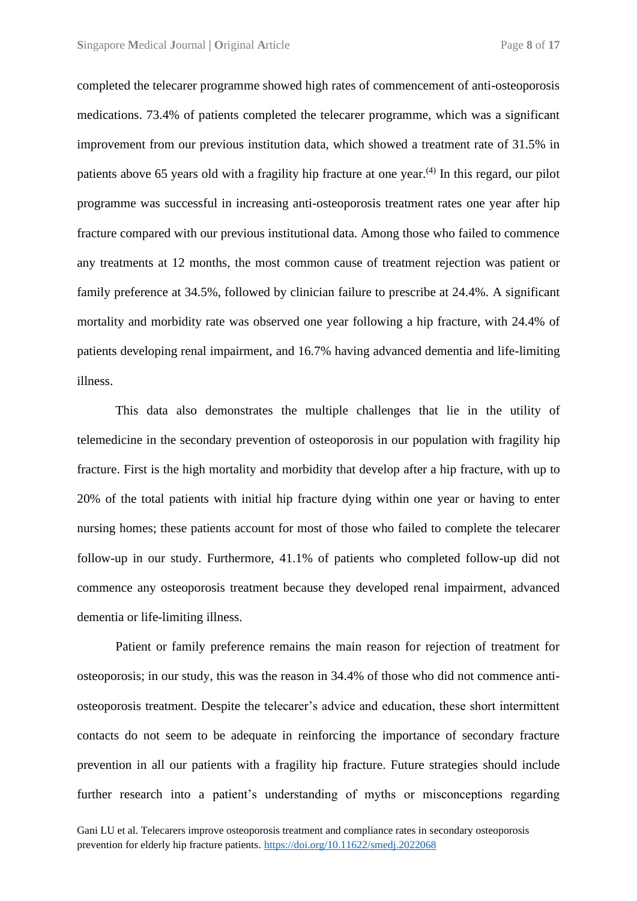completed the telecarer programme showed high rates of commencement of anti-osteoporosis medications. 73.4% of patients completed the telecarer programme, which was a significant improvement from our previous institution data, which showed a treatment rate of 31.5% in patients above 65 years old with a fragility hip fracture at one year.<sup> $(4)$ </sup> In this regard, our pilot programme was successful in increasing anti-osteoporosis treatment rates one year after hip fracture compared with our previous institutional data. Among those who failed to commence any treatments at 12 months, the most common cause of treatment rejection was patient or family preference at 34.5%, followed by clinician failure to prescribe at 24.4%. A significant mortality and morbidity rate was observed one year following a hip fracture, with 24.4% of patients developing renal impairment, and 16.7% having advanced dementia and life-limiting illness.

This data also demonstrates the multiple challenges that lie in the utility of telemedicine in the secondary prevention of osteoporosis in our population with fragility hip fracture. First is the high mortality and morbidity that develop after a hip fracture, with up to 20% of the total patients with initial hip fracture dying within one year or having to enter nursing homes; these patients account for most of those who failed to complete the telecarer follow-up in our study. Furthermore, 41.1% of patients who completed follow-up did not commence any osteoporosis treatment because they developed renal impairment, advanced dementia or life-limiting illness.

Patient or family preference remains the main reason for rejection of treatment for osteoporosis; in our study, this was the reason in 34.4% of those who did not commence antiosteoporosis treatment. Despite the telecarer's advice and education, these short intermittent contacts do not seem to be adequate in reinforcing the importance of secondary fracture prevention in all our patients with a fragility hip fracture. Future strategies should include further research into a patient's understanding of myths or misconceptions regarding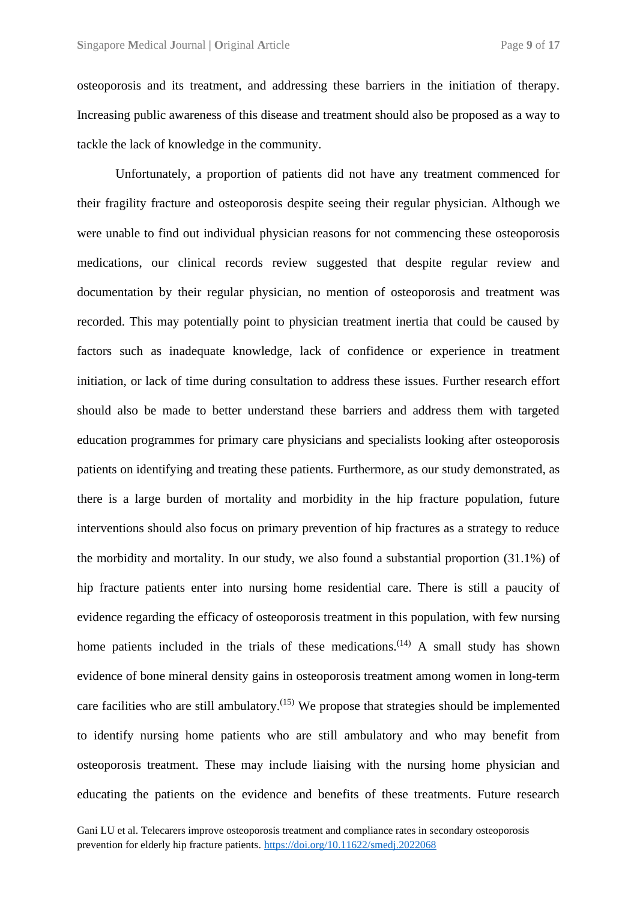osteoporosis and its treatment, and addressing these barriers in the initiation of therapy. Increasing public awareness of this disease and treatment should also be proposed as a way to tackle the lack of knowledge in the community.

Unfortunately, a proportion of patients did not have any treatment commenced for their fragility fracture and osteoporosis despite seeing their regular physician. Although we were unable to find out individual physician reasons for not commencing these osteoporosis medications, our clinical records review suggested that despite regular review and documentation by their regular physician, no mention of osteoporosis and treatment was recorded. This may potentially point to physician treatment inertia that could be caused by factors such as inadequate knowledge, lack of confidence or experience in treatment initiation, or lack of time during consultation to address these issues. Further research effort should also be made to better understand these barriers and address them with targeted education programmes for primary care physicians and specialists looking after osteoporosis patients on identifying and treating these patients. Furthermore, as our study demonstrated, as there is a large burden of mortality and morbidity in the hip fracture population, future interventions should also focus on primary prevention of hip fractures as a strategy to reduce the morbidity and mortality. In our study, we also found a substantial proportion (31.1%) of hip fracture patients enter into nursing home residential care. There is still a paucity of evidence regarding the efficacy of osteoporosis treatment in this population, with few nursing home patients included in the trials of these medications.<sup> $(14)$ </sup> A small study has shown evidence of bone mineral density gains in osteoporosis treatment among women in long-term care facilities who are still ambulatory.<sup>(15)</sup> We propose that strategies should be implemented to identify nursing home patients who are still ambulatory and who may benefit from osteoporosis treatment. These may include liaising with the nursing home physician and educating the patients on the evidence and benefits of these treatments. Future research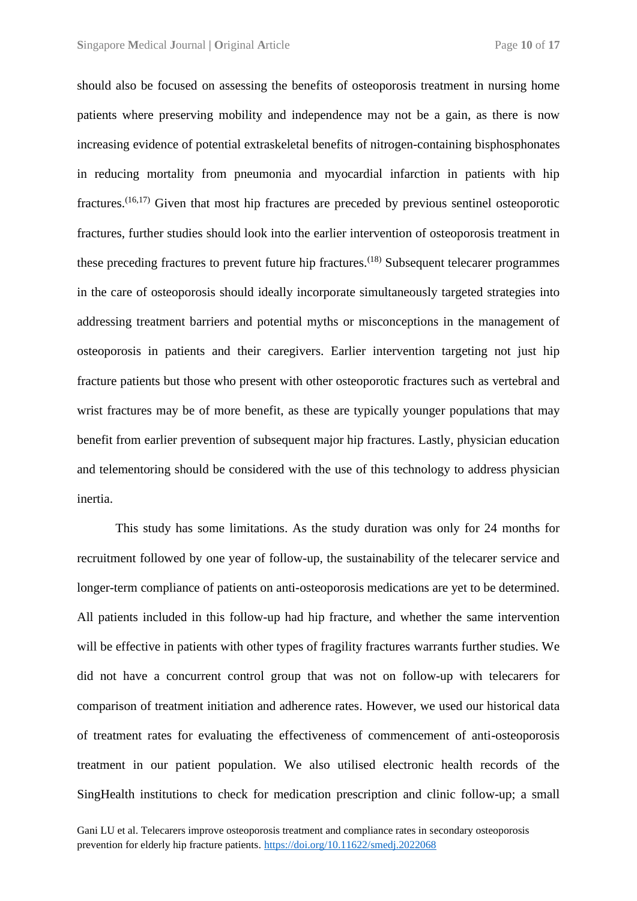should also be focused on assessing the benefits of osteoporosis treatment in nursing home patients where preserving mobility and independence may not be a gain, as there is now increasing evidence of potential extraskeletal benefits of nitrogen-containing bisphosphonates in reducing mortality from pneumonia and myocardial infarction in patients with hip fractures.<sup> $(16,17)$ </sup> Given that most hip fractures are preceded by previous sentinel osteoporotic fractures, further studies should look into the earlier intervention of osteoporosis treatment in these preceding fractures to prevent future hip fractures.<sup> $(18)$ </sup> Subsequent telecarer programmes in the care of osteoporosis should ideally incorporate simultaneously targeted strategies into addressing treatment barriers and potential myths or misconceptions in the management of osteoporosis in patients and their caregivers. Earlier intervention targeting not just hip fracture patients but those who present with other osteoporotic fractures such as vertebral and wrist fractures may be of more benefit, as these are typically younger populations that may benefit from earlier prevention of subsequent major hip fractures. Lastly, physician education and telementoring should be considered with the use of this technology to address physician inertia.

This study has some limitations. As the study duration was only for 24 months for recruitment followed by one year of follow-up, the sustainability of the telecarer service and longer-term compliance of patients on anti-osteoporosis medications are yet to be determined. All patients included in this follow-up had hip fracture, and whether the same intervention will be effective in patients with other types of fragility fractures warrants further studies. We did not have a concurrent control group that was not on follow-up with telecarers for comparison of treatment initiation and adherence rates. However, we used our historical data of treatment rates for evaluating the effectiveness of commencement of anti-osteoporosis treatment in our patient population. We also utilised electronic health records of the SingHealth institutions to check for medication prescription and clinic follow-up; a small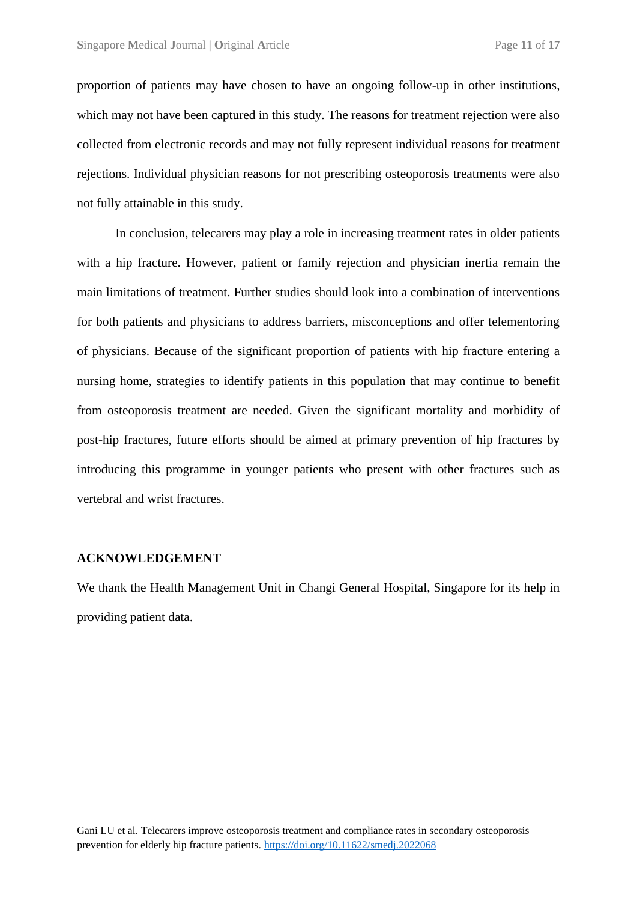proportion of patients may have chosen to have an ongoing follow-up in other institutions, which may not have been captured in this study. The reasons for treatment rejection were also collected from electronic records and may not fully represent individual reasons for treatment rejections. Individual physician reasons for not prescribing osteoporosis treatments were also not fully attainable in this study.

In conclusion, telecarers may play a role in increasing treatment rates in older patients with a hip fracture. However, patient or family rejection and physician inertia remain the main limitations of treatment. Further studies should look into a combination of interventions for both patients and physicians to address barriers, misconceptions and offer telementoring of physicians. Because of the significant proportion of patients with hip fracture entering a nursing home, strategies to identify patients in this population that may continue to benefit from osteoporosis treatment are needed. Given the significant mortality and morbidity of post-hip fractures, future efforts should be aimed at primary prevention of hip fractures by introducing this programme in younger patients who present with other fractures such as vertebral and wrist fractures.

#### **ACKNOWLEDGEMENT**

We thank the Health Management Unit in Changi General Hospital, Singapore for its help in providing patient data.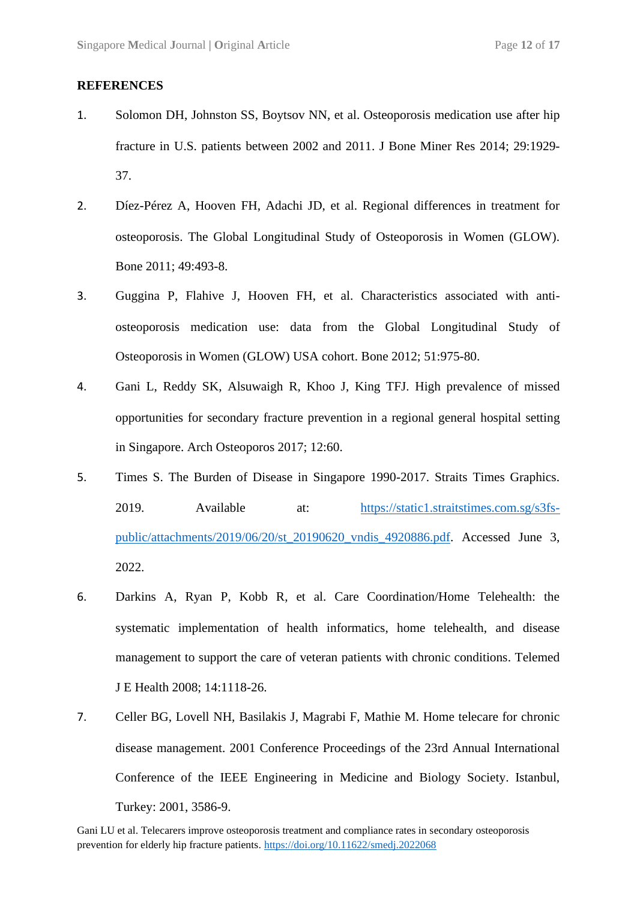#### **REFERENCES**

- 1. Solomon DH, Johnston SS, Boytsov NN, et al. Osteoporosis medication use after hip fracture in U.S. patients between 2002 and 2011. J Bone Miner Res 2014; 29:1929- 37.
- 2. Díez-Pérez A, Hooven FH, Adachi JD, et al. Regional differences in treatment for osteoporosis. The Global Longitudinal Study of Osteoporosis in Women (GLOW). Bone 2011; 49:493-8.
- 3. Guggina P, Flahive J, Hooven FH, et al. Characteristics associated with antiosteoporosis medication use: data from the Global Longitudinal Study of Osteoporosis in Women (GLOW) USA cohort. Bone 2012; 51:975-80.
- 4. Gani L, Reddy SK, Alsuwaigh R, Khoo J, King TFJ. High prevalence of missed opportunities for secondary fracture prevention in a regional general hospital setting in Singapore. Arch Osteoporos 2017; 12:60.
- 5. Times S. The Burden of Disease in Singapore 1990-2017. Straits Times Graphics. 2019. Available at: [https://static1.straitstimes.com.sg/s3fs](https://static1.straitstimes.com.sg/s3fs-public/attachments/2019/06/20/st_20190620_vndis_4920886.pdf)[public/attachments/2019/06/20/st\\_20190620\\_vndis\\_4920886.pdf.](https://static1.straitstimes.com.sg/s3fs-public/attachments/2019/06/20/st_20190620_vndis_4920886.pdf) Accessed June 3, 2022.
- 6. Darkins A, Ryan P, Kobb R, et al. Care Coordination/Home Telehealth: the systematic implementation of health informatics, home telehealth, and disease management to support the care of veteran patients with chronic conditions. Telemed J E Health 2008; 14:1118-26.
- 7. Celler BG, Lovell NH, Basilakis J, Magrabi F, Mathie M. Home telecare for chronic disease management. 2001 Conference Proceedings of the 23rd Annual International Conference of the IEEE Engineering in Medicine and Biology Society. Istanbul, Turkey: 2001, 3586-9.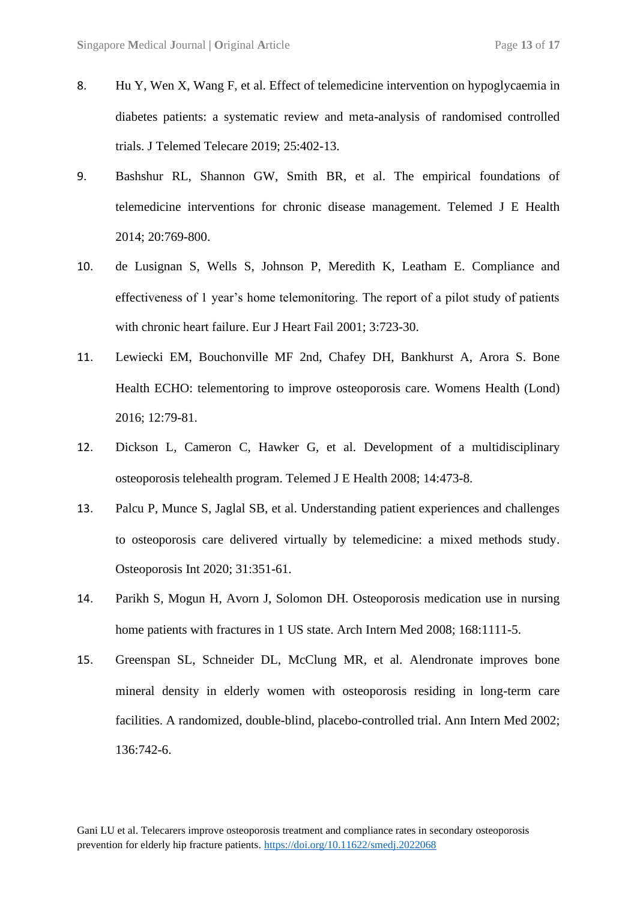- 8. Hu Y, Wen X, Wang F, et al. Effect of telemedicine intervention on hypoglycaemia in diabetes patients: a systematic review and meta-analysis of randomised controlled trials. J Telemed Telecare 2019; 25:402-13.
- 9. Bashshur RL, Shannon GW, Smith BR, et al. The empirical foundations of telemedicine interventions for chronic disease management. Telemed J E Health 2014; 20:769-800.
- 10. de Lusignan S, Wells S, Johnson P, Meredith K, Leatham E. Compliance and effectiveness of 1 year's home telemonitoring. The report of a pilot study of patients with chronic heart failure. Eur J Heart Fail 2001; 3:723-30.
- 11. Lewiecki EM, Bouchonville MF 2nd, Chafey DH, Bankhurst A, Arora S. Bone Health ECHO: telementoring to improve osteoporosis care. Womens Health (Lond) 2016; 12:79-81.
- 12. Dickson L, Cameron C, Hawker G, et al. Development of a multidisciplinary osteoporosis telehealth program. Telemed J E Health 2008; 14:473-8.
- 13. Palcu P, Munce S, Jaglal SB, et al. Understanding patient experiences and challenges to osteoporosis care delivered virtually by telemedicine: a mixed methods study. Osteoporosis Int 2020; 31:351-61.
- 14. Parikh S, Mogun H, Avorn J, Solomon DH. Osteoporosis medication use in nursing home patients with fractures in 1 US state. Arch Intern Med 2008: 168:1111-5.
- 15. Greenspan SL, Schneider DL, McClung MR, et al. Alendronate improves bone mineral density in elderly women with osteoporosis residing in long-term care facilities. A randomized, double-blind, placebo-controlled trial. Ann Intern Med 2002; 136:742-6.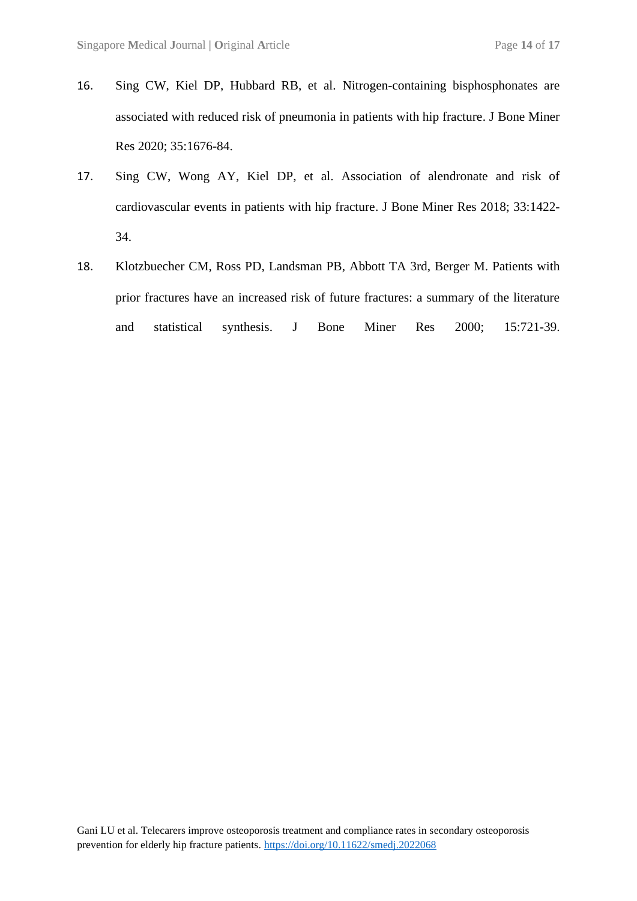- 16. Sing CW, Kiel DP, Hubbard RB, et al. Nitrogen-containing bisphosphonates are associated with reduced risk of pneumonia in patients with hip fracture. J Bone Miner Res 2020; 35:1676-84.
- 17. Sing CW, Wong AY, Kiel DP, et al. Association of alendronate and risk of cardiovascular events in patients with hip fracture. J Bone Miner Res 2018; 33:1422- 34.
- 18. Klotzbuecher CM, Ross PD, Landsman PB, Abbott TA 3rd, Berger M. Patients with prior fractures have an increased risk of future fractures: a summary of the literature and statistical synthesis. J Bone Miner Res 2000; 15:721-39.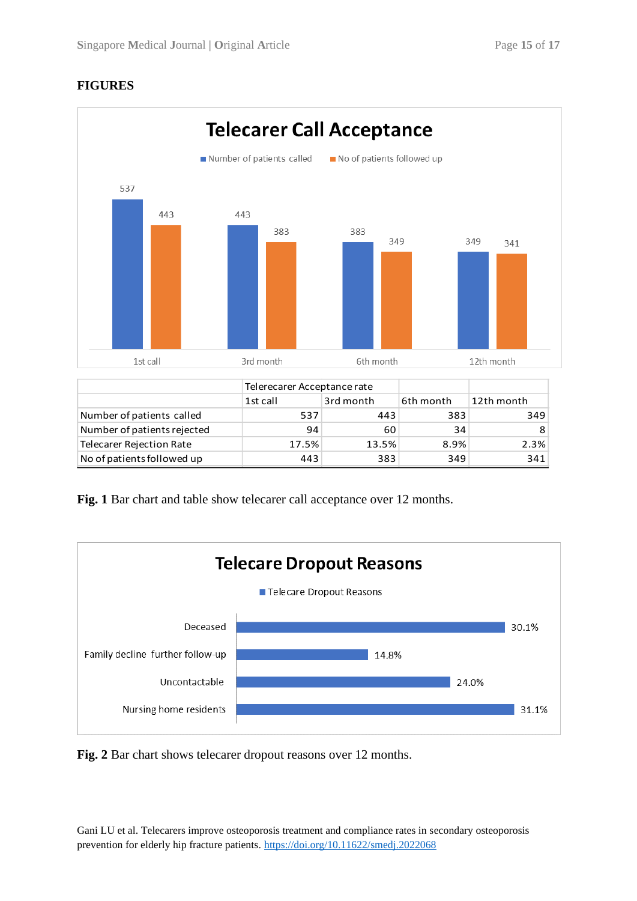## **FIGURES**



|                                 | Telerecarer Acceptance rate |           |           |            |  |
|---------------------------------|-----------------------------|-----------|-----------|------------|--|
|                                 | 1st call                    | 3rd month | 6th month | 12th month |  |
| Number of patients called       | 537                         | 443       | 383       | 349        |  |
| Number of patients rejected     | 94                          | 60        | 34        |            |  |
| <b>Telecarer Rejection Rate</b> | 17.5%                       | 13.5%     | 8.9%      | 2.3%       |  |
| No of patients followed up      | 443                         | 383       | 349       | 341        |  |

Fig. 1 Bar chart and table show telecarer call acceptance over 12 months.



**Fig. 2** Bar chart shows telecarer dropout reasons over 12 months.

Gani LU et al. Telecarers improve osteoporosis treatment and compliance rates in secondary osteoporosis prevention for elderly hip fracture patients. <https://doi.org/10.11622/smedj.2022068>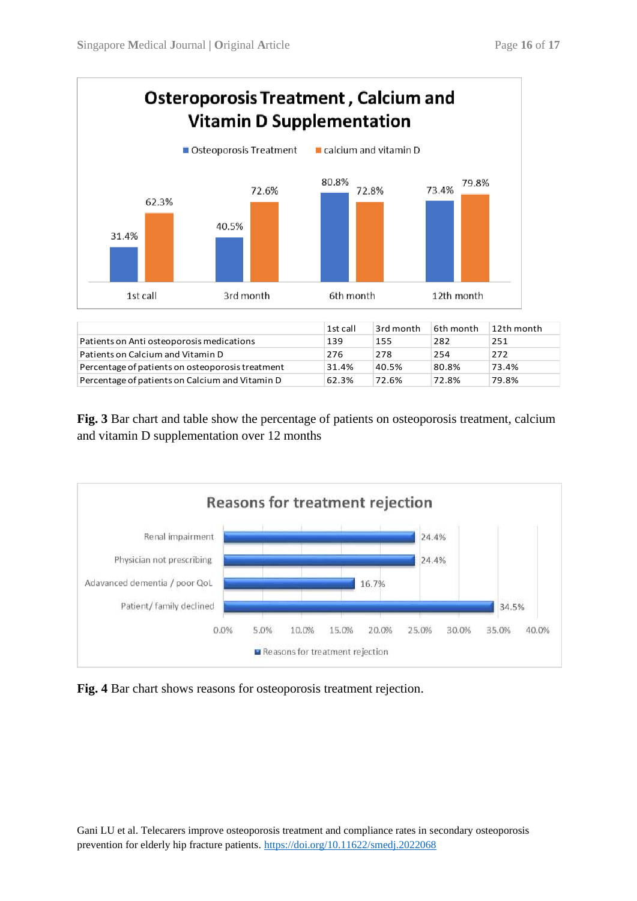

|                                                  | <b>1st call</b> | 3rd month | 6th month | 12th month |
|--------------------------------------------------|-----------------|-----------|-----------|------------|
| Patients on Anti osteoporosis medications        | 139             | 155       | 282       | 251        |
| Patients on Calcium and Vitamin D                | 276             | 278       | 254       | 272        |
| Percentage of patients on osteoporosis treatment | 31.4%           | 40.5%     | 80.8%     | 73.4%      |
| Percentage of patients on Calcium and Vitamin D  | 62.3%           | 72.6%     | 72.8%     | 79.8%      |

**Fig. 3** Bar chart and table show the percentage of patients on osteoporosis treatment, calcium and vitamin D supplementation over 12 months



**Fig. 4** Bar chart shows reasons for osteoporosis treatment rejection.

Gani LU et al. Telecarers improve osteoporosis treatment and compliance rates in secondary osteoporosis prevention for elderly hip fracture patients. <https://doi.org/10.11622/smedj.2022068>